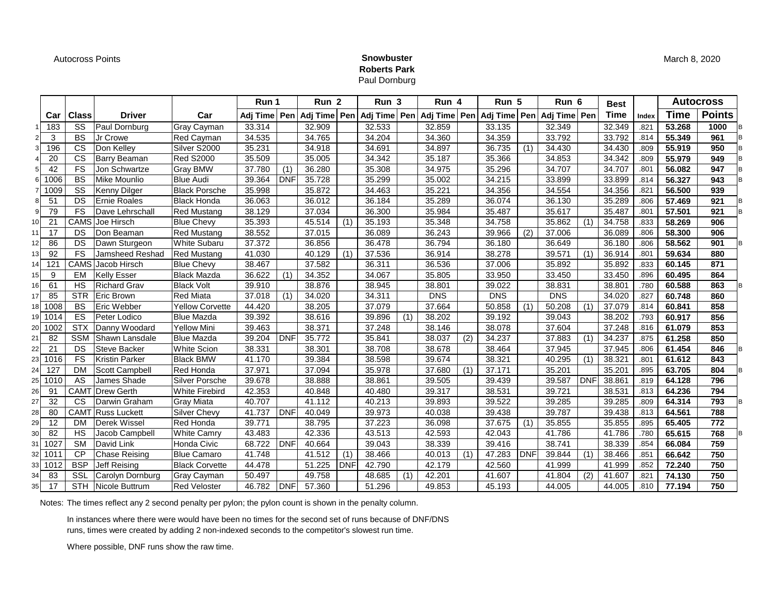Autocross Points **Snowbuster**

## **Roberts Park** Paul Dornburg

|      |      |                        |                       |                        | Run 1          |            | Run <sub>2</sub> |            | Run 3  |     | Run 4      |     | Run 5                                            |                  | Run 6        |                  | <b>Best</b> |       |        | <b>Autocross</b> |  |
|------|------|------------------------|-----------------------|------------------------|----------------|------------|------------------|------------|--------|-----|------------|-----|--------------------------------------------------|------------------|--------------|------------------|-------------|-------|--------|------------------|--|
|      | Car  | <b>Class</b>           | <b>Driver</b>         | Car                    | Adj Time   Pen |            | Adj Time Pen     |            |        |     |            |     | Adj Time   Pen   Adj Time   Pen   Adj Time   Pen |                  | Adj Time Pen |                  | <b>Time</b> | Index | Time   | <b>Points</b>    |  |
|      | 183  | SS                     | Paul Dornburg         | Gray Cayman            | 33.314         |            | 32.909           |            | 32.533 |     | 32.859     |     | 33.135                                           |                  | 32.349       |                  | 32.349      | .821  | 53.268 | 1000             |  |
|      | 3    | <b>BS</b>              | Jr Crowe              | Red Cayman             | 34.535         |            | 34.765           |            | 34.204 |     | 34.360     |     | 34.359                                           |                  | 33.792       |                  | 33.792      | .814  | 55.349 | 961              |  |
|      | 196  | $\overline{\text{cs}}$ | Don Kelley            | Silver S2000           | 35.231         |            | 34.918           |            | 34.691 |     | 34.897     |     | 36.735                                           | $\overline{(1)}$ | 34.430       |                  | 34.430      | .809  | 55.919 | 950              |  |
|      | 20   | $\overline{\text{cs}}$ | Barry Beaman          | <b>Red S2000</b>       | 35.509         |            | 35.005           |            | 34.342 |     | 35.187     |     | 35.366                                           |                  | 34.853       |                  | 34.342      | .809  | 55.979 | 949              |  |
|      | 42   | FS                     | Jon Schwartze         | Gray BMW               | 37.780         | (1)        | 36.280           |            | 35.308 |     | 34.975     |     | 35.296                                           |                  | 34.707       |                  | 34.707      | .801  | 56.082 | 947              |  |
|      | 1006 | <b>BS</b>              | Mike Mounlio          | <b>Blue Audi</b>       | 39.364         | <b>DNF</b> | 35.728           |            | 35.299 |     | 35.002     |     | 34.215                                           |                  | 33.899       |                  | 33.899      | .814  | 56.327 | 943              |  |
|      | 1009 | SS                     | Kenny Dilger          | <b>Black Porsche</b>   | 35.998         |            | 35.872           |            | 34.463 |     | 35.221     |     | 34.356                                           |                  | 34.554       |                  | 34.356      | .821  | 56.500 | 939              |  |
|      | 51   | <b>DS</b>              | <b>Ernie Roales</b>   | <b>Black Honda</b>     | 36.063         |            | 36.012           |            | 36.184 |     | 35.289     |     | 36.074                                           |                  | 36.130       |                  | 35.289      | .806  | 57.469 | 921              |  |
|      | 79   | <b>FS</b>              | Dave Lehrschall       | <b>Red Mustang</b>     | 38.129         |            | 37.034           |            | 36.300 |     | 35.984     |     | 35.487                                           |                  | 35.617       |                  | 35.487      | .801  | 57.501 | 921              |  |
| 10.  | 21   | CAMS                   | Joe Hirsch            | <b>Blue Chevy</b>      | 35.393         |            | 45.514           | (1)        | 35.193 |     | 35.348     |     | 34.758                                           |                  | 35.862       | (1)              | 34.758      | .833  | 58.269 | 906              |  |
|      | 17   | DS                     | Don Beaman            | <b>Red Mustang</b>     | 38.552         |            | 37.015           |            | 36.089 |     | 36.243     |     | 39.966                                           | (2)              | 37.006       |                  | 36.089      | .806  | 58.300 | 906              |  |
| 121  | 86   | DS                     | Dawn Sturgeon         | <b>White Subaru</b>    | 37.372         |            | 36.856           |            | 36.478 |     | 36.794     |     | 36.180                                           |                  | 36.649       |                  | 36.180      | .806  | 58.562 | 901              |  |
|      | 92   | FS                     | Jamsheed Reshad       | <b>Red Mustang</b>     | 41.030         |            | 40.129           | (1)        | 37.536 |     | 36.914     |     | 38.278                                           |                  | 39.571       | (1)              | 36.914      | .801  | 59.634 | 880              |  |
|      | 121  | CAMS                   | Jacob Hirsch          | <b>Blue Chevy</b>      | 38.467         |            | 37.582           |            | 36.311 |     | 36.536     |     | 37.006                                           |                  | 35.892       |                  | 35.892      | .833  | 60.145 | 871              |  |
| 15 I | 9    | EM                     | <b>Kelly Esser</b>    | <b>Black Mazda</b>     | 36.622         | (1)        | 34.352           |            | 34.067 |     | 35.805     |     | 33.950                                           |                  | 33.450       |                  | 33.450      | .896  | 60.495 | 864              |  |
| 16   | 61   | HS                     | <b>Richard Grav</b>   | <b>Black Volt</b>      | 39.910         |            | 38.876           |            | 38.945 |     | 38.801     |     | 39.022                                           |                  | 38.831       |                  | 38.801      | .780  | 60.588 | 863              |  |
| 17   | 85   | <b>STR</b>             | Eric Brown            | <b>Red Miata</b>       | 37.018         | (1)        | 34.020           |            | 34.311 |     | <b>DNS</b> |     | <b>DNS</b>                                       |                  | <b>DNS</b>   |                  | 34.020      | .827  | 60.748 | 860              |  |
| 18   | 1008 | <b>BS</b>              | Eric Webber           | <b>Yellow Corvette</b> | 44.420         |            | 38.205           |            | 37.079 |     | 37.664     |     | 50.858                                           | (1)              | 50.208       | (1)              | 37.079      | .814  | 60.841 | 858              |  |
| 191  | 1014 | ES                     | Peter Lodico          | <b>Blue Mazda</b>      | 39.392         |            | 38.616           |            | 39.896 | (1) | 38.202     |     | 39.192                                           |                  | 39.043       |                  | 38.202      | .793  | 60.917 | 856              |  |
| 20   | 1002 | STX                    | Danny Woodard         | <b>Yellow Mini</b>     | 39.463         |            | 38.371           |            | 37.248 |     | 38.146     |     | 38.078                                           |                  | 37.604       |                  | 37.248      | .816  | 61.079 | 853              |  |
| 21   | 82   | <b>SSM</b>             | Shawn Lansdale        | <b>Blue Mazda</b>      | 39.204         | <b>DNF</b> | 35.772           |            | 35.841 |     | 38.037     | (2) | 34.237                                           |                  | 37.883       | $\overline{(1)}$ | 34.237      | .875  | 61.258 | 850              |  |
| 22   | 21   | DS                     | Steve Backer          | <b>White Scion</b>     | 38.331         |            | 38.301           |            | 38.708 |     | 38.678     |     | 38.464                                           |                  | 37.945       |                  | 37.945      | .806  | 61.454 | 846              |  |
| 23   | 1016 | FS                     | <b>Kristin Parker</b> | <b>Black BMW</b>       | 41.170         |            | 39.384           |            | 38.598 |     | 39.674     |     | 38.321                                           |                  | 40.295       | $\overline{(1)}$ | 38.321      | .801  | 61.612 | 843              |  |
|      | 127  | <b>DM</b>              | Scott Campbell        | <b>Red Honda</b>       | 37.971         |            | 37.094           |            | 35.978 |     | 37.680     | (1) | 37.171                                           |                  | 35.201       |                  | 35.201      | .895  | 63.705 | 804              |  |
| 25   | 1010 | AS                     | James Shade           | Silver Porsche         | 39.678         |            | 38.888           |            | 38.861 |     | 39.505     |     | 39.439                                           |                  | 39.587       | <b>DNF</b>       | 38.861      | .819  | 64.128 | 796              |  |
| 26   | 91   | CAMT                   | <b>Drew Gerth</b>     | <b>White Firebird</b>  | 42.353         |            | 40.848           |            | 40.480 |     | 39.317     |     | 38.531                                           |                  | 39.721       |                  | 38.531      | .813  | 64.236 | 794              |  |
|      | 32   | CS                     | Darwin Graham         | <b>Gray Miata</b>      | 40.707         |            | 41.112           |            | 40.213 |     | 39.893     |     | 39.522                                           |                  | 39.285       |                  | 39.285      | .809  | 64.314 | 793              |  |
| 28   | 80   | CAMT                   | <b>Russ Luckett</b>   | <b>Silver Chevy</b>    | 41.737         | <b>DNF</b> | 40.049           |            | 39.973 |     | 40.038     |     | 39.438                                           |                  | 39.787       |                  | 39.438      | .813  | 64.561 | 788              |  |
| 29   | 12   | DM                     | Derek Wissel          | Red Honda              | 39.771         |            | 38.795           |            | 37.223 |     | 36.098     |     | 37.675                                           | (1)              | 35.855       |                  | 35.855      | .895  | 65.405 | 772              |  |
| 30   | 82   | <b>HS</b>              | Jacob Campbell        | <b>White Camry</b>     | 43.483         |            | 42.336           |            | 43.513 |     | 42.593     |     | 42.043                                           |                  | 41.786       |                  | 41.786      | .780  | 65.615 | 768              |  |
|      | 1027 | <b>SM</b>              | David Link            | Honda Civic            | 68.722         | <b>DNF</b> | 40.664           |            | 39.043 |     | 38.339     |     | 39.416                                           |                  | 38.741       |                  | 38.339      | .854  | 66.084 | 759              |  |
|      | 1011 | CP                     | Chase Reising         | <b>Blue Camaro</b>     | 41.748         |            | 41.512           | (1)        | 38.466 |     | 40.013     | (1) | 47.283                                           | <b>DNF</b>       | 39.844       | (1)              | 38.466      | .851  | 66.642 | 750              |  |
| 33   | 1012 | <b>BSP</b>             | Jeff Reising          | <b>Black Corvette</b>  | 44.478         |            | 51.225           | <b>DNF</b> | 42.790 |     | 42.179     |     | 42.560                                           |                  | 41.999       |                  | 41.999      | .852  | 72.240 | 750              |  |
| 34   | 83   | SSL                    | Carolyn Dornburg      | Gray Cayman            | 50.497         |            | 49.758           |            | 48.685 | (1) | 42.201     |     | 41.607                                           |                  | 41.804       | $\overline{(2)}$ | 41.607      | .821  | 74.130 | 750              |  |
| 35 I | 17   | <b>STH</b>             | Nicole Buttrum        | <b>Red Veloster</b>    | 46.782         | <b>DNF</b> | 57.360           |            | 51.296 |     | 49.853     |     | 45.193                                           |                  | 44.005       |                  | 44.005      | .810  | 77.194 | 750              |  |

Notes: The times reflect any 2 second penalty per pylon; the pylon count is shown in the penalty column.

In instances where there were would have been no times for the second set of runs because of DNF/DNS runs, times were created by adding 2 non-indexed seconds to the competitor's slowest run time.

Where possible, DNF runs show the raw time.